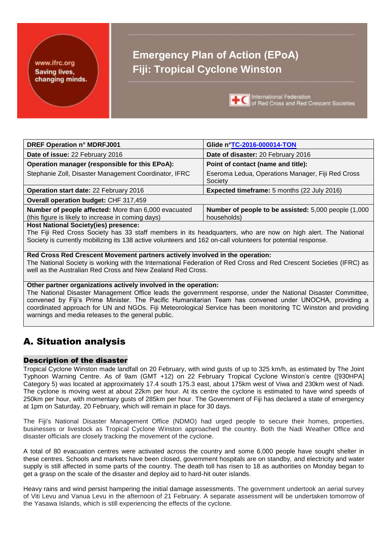#### <span id="page-0-0"></span>www.ifrc.org **Saving lives,** changing minds.

# **Emergency Plan of Action (EPoA) Fiji: Tropical Cyclone Winston**



International Federation of Red Cross and Red Crescent Societies

| <b>DREF Operation n° MDRFJ001</b>                                                                            | Glide n°TC-2016-000014-TON                                           |  |  |  |  |  |  |  |  |
|--------------------------------------------------------------------------------------------------------------|----------------------------------------------------------------------|--|--|--|--|--|--|--|--|
| Date of issue: 22 February 2016                                                                              | Date of disaster: 20 February 2016                                   |  |  |  |  |  |  |  |  |
| Operation manager (responsible for this EPoA):                                                               | Point of contact (name and title):                                   |  |  |  |  |  |  |  |  |
| Stephanie Zoll, Disaster Management Coordinator, IFRC                                                        | Eseroma Ledua, Operations Manager, Fiji Red Cross<br>Society         |  |  |  |  |  |  |  |  |
| Operation start date: 22 February 2016                                                                       | <b>Expected timeframe:</b> 5 months (22 July 2016)                   |  |  |  |  |  |  |  |  |
| Overall operation budget: CHF 317,459                                                                        |                                                                      |  |  |  |  |  |  |  |  |
| Number of people affected: More than 6,000 evacuated<br>(this figure is likely to increase in coming days)   | Number of people to be assisted: 5,000 people (1,000)<br>households) |  |  |  |  |  |  |  |  |
| <b>Host National Society(ies) presence:</b>                                                                  |                                                                      |  |  |  |  |  |  |  |  |
| The Fiii Red Cross Society has 33 staff members in its headquarters, who are now on high alert. The National |                                                                      |  |  |  |  |  |  |  |  |

The Fiji Red Cross Society has 33 staff members in its headquarters, who are now on high alert. The National Society is currently mobilizing its 138 active volunteers and 162 on-call volunteers for potential response.

#### **Red Cross Red Crescent Movement partners actively involved in the operation:**

The National Society is working with the International Federation of Red Cross and Red Crescent Societies (IFRC) as well as the Australian Red Cross and New Zealand Red Cross.

#### **Other partner organizations actively involved in the operation:**

The National Disaster Management Office leads the government response, under the National Disaster Committee, convened by Fiji's Prime Minister. The Pacific Humanitarian Team has convened under UNOCHA, providing a coordinated approach for UN and NGOs. Fiji Meteorological Service has been monitoring TC Winston and providing warnings and media releases to the general public.

# A. Situation analysis

### Description of the disaster

Tropical Cyclone Winston made landfall on 20 February, with wind gusts of up to 325 km/h, as estimated by The Joint Typhoon Warning Centre. As of 9am (GMT +12) on 22 February Tropical Cyclone Winston's centre ([930HPA] Category 5) was located at approximately 17.4 south 175.3 east, about 175km west of Viwa and 230km west of Nadi. The cyclone is moving west at about 22km per hour. At its centre the cyclone is estimated to have wind speeds of 250km per hour, with momentary gusts of 285km per hour. The Government of Fiji has declared a state of emergency at 1pm on Saturday, 20 February, which will remain in place for 30 days.

The Fiji's National Disaster Management Office (NDMO) had urged people to secure their homes, properties, businesses or livestock as Tropical Cyclone Winston approached the country. Both the Nadi Weather Office and disaster officials are closely tracking the movement of the cyclone.

A total of 80 evacuation centres were activated across the country and some 6,000 people have sought shelter in these centres. Schools and markets have been closed, government hospitals are on standby, and electricity and water supply is still affected in some parts of the country. The death toll has risen to 18 as authorities on Monday began to get a grasp on the scale of the disaster and deploy aid to hard-hit outer islands.

Heavy rains and wind persist hampering the initial damage assessments. The government undertook an aerial survey of Viti Levu and Vanua Levu in the afternoon of 21 February. A separate assessment will be undertaken tomorrow of the Yasawa Islands, which is still experiencing the effects of the cyclone.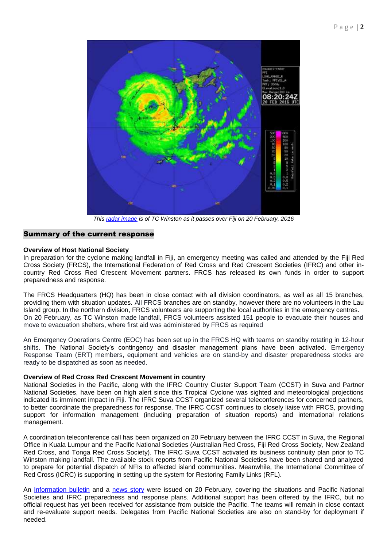

*This [radar image](http://www.met.gov.fj/radar.php) is of TC Winston as it passes over Fiji on 20 February, 2016*

#### Summary of the current response

#### **Overview of Host National Society**

In preparation for the cyclone making landfall in Fiji, an emergency meeting was called and attended by the Fiji Red Cross Society (FRCS), the International Federation of Red Cross and Red Crescent Societies (IFRC) and other incountry Red Cross Red Crescent Movement partners. FRCS has released its own funds in order to support preparedness and response.

The FRCS Headquarters (HQ) has been in close contact with all division coordinators, as well as all 15 branches, providing them with situation updates. All FRCS branches are on standby, however there are no volunteers in the Lau Island group. In the northern division, FRCS volunteers are supporting the local authorities in the emergency centres. On 20 February, as TC Winston made landfall, FRCS volunteers assisted 151 people to evacuate their houses and move to evacuation shelters, where first aid was administered by FRCS as required

An Emergency Operations Centre (EOC) has been set up in the FRCS HQ with teams on standby rotating in 12-hour shifts. The National Society's contingency and disaster management plans have been activated. Emergency Response Team (ERT) members, equipment and vehicles are on stand-by and disaster preparedness stocks are ready to be dispatched as soon as needed.

#### **Overview of Red Cross Red Crescent Movement in country**

National Societies in the Pacific, along with the IFRC Country Cluster Support Team (CCST) in Suva and Partner National Societies, have been on high alert since this Tropical Cyclone was sighted and meteorological projections indicated its imminent impact in Fiji. The IFRC Suva CCST organized several teleconferences for concerned partners, to better coordinate the preparedness for response. The IFRC CCST continues to closely liaise with FRCS, providing support for information management (including preparation of situation reports) and international relations management.

A coordination teleconference call has been organized on 20 February between the IFRC CCST in Suva, the Regional Office in Kuala Lumpur and the Pacific National Societies (Australian Red Cross, Fiji Red Cross Society, New Zealand Red Cross, and Tonga Red Cross Society). The IFRC Suva CCST activated its business continuity plan prior to TC Winston making landfall. The available stock reports from Pacific National Societies have been shared and analyzed to prepare for potential dispatch of NFIs to affected island communities. Meanwhile, the International Committee of Red Cross (ICRC) is supporting in setting up the system for Restoring Family Links (RFL).

An [Information bulletin](http://www.ifrc.org/docs/Appeals/16/IBFJITONtc200216.pdf) and a [news story](http://www.ifrc.org/en/news-and-media/news-stories/asia-pacific/fiji/red-cross-responds-as-cyclone-winston-bears-down-on-fiji---71948/) were issued on 20 February, covering the situations and Pacific National Societies and IFRC preparedness and response plans. Additional support has been offered by the IFRC, but no official request has yet been received for assistance from outside the Pacific. The teams will remain in close contact and re-evaluate support needs. Delegates from Pacific National Societies are also on stand-by for deployment if needed.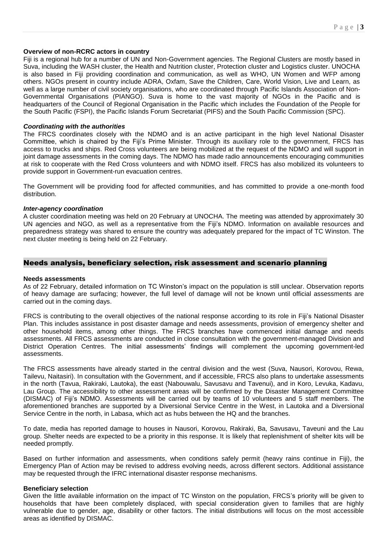#### **Overview of non-RCRC actors in country**

Fiji is a regional hub for a number of UN and Non-Government agencies. The Regional Clusters are mostly based in Suva, including the WASH cluster, the Health and Nutrition cluster, Protection cluster and Logistics cluster. UNOCHA is also based in Fiji providing coordination and communication, as well as WHO, UN Women and WFP among others. NGOs present in country include ADRA, Oxfam, Save the Children, Care, World Vision, Live and Learn, as well as a large number of civil society organisations, who are coordinated through Pacific Islands Association of Non-Governmental Organisations (PIANGO). Suva is home to the vast majority of NGOs in the Pacific and is headquarters of the Council of Regional Organisation in the Pacific which includes the Foundation of the People for the South Pacific (FSPI), the Pacific Islands Forum Secretariat (PIFS) and the South Pacific Commission (SPC).

#### *Coordinating with the authorities*

The FRCS coordinates closely with the NDMO and is an active participant in the high level National Disaster Committee, which is chaired by the Fiji's Prime Minister. Through its auxiliary role to the government, FRCS has access to trucks and ships. Red Cross volunteers are being mobilized at the request of the NDMO and will support in joint damage assessments in the coming days. The NDMO has made radio announcements encouraging communities at risk to cooperate with the Red Cross volunteers and with NDMO itself. FRCS has also mobilized its volunteers to provide support in Government-run evacuation centres.

The Government will be providing food for affected communities, and has committed to provide a one-month food distribution.

#### *Inter-agency coordination*

A cluster coordination meeting was held on 20 February at UNOCHA. The meeting was attended by approximately 30 UN agencies and NGO, as well as a representative from the Fiji's NDMO. Information on available resources and preparedness strategy was shared to ensure the country was adequately prepared for the impact of TC Winston. The next cluster meeting is being held on 22 February.

#### Needs analysis, beneficiary selection, risk assessment and scenario planning

#### **Needs assessments**

As of 22 February, detailed information on TC Winston's impact on the population is still unclear. Observation reports of heavy damage are surfacing; however, the full level of damage will not be known until official assessments are carried out in the coming days.

FRCS is contributing to the overall objectives of the national response according to its role in Fiji's National Disaster Plan. This includes assistance in post disaster damage and needs assessments, provision of emergency shelter and other household items, among other things. The FRCS branches have commenced initial damage and needs assessments. All FRCS assessments are conducted in close consultation with the government-managed Division and District Operation Centres. The initial assessments' findings will complement the upcoming government-led assessments.

The FRCS assessments have already started in the central division and the west (Suva, Nausori, Korovou, Rewa, Tailevu, Naitasiri). In consultation with the Government, and if accessible, FRCS also plans to undertake assessments in the north (Tavua, Rakiraki, Lautoka), the east (Nabouwalu, Savusavu and Tavenui), and in Koro, Levuka, Kadavu, Lau Group. The accessibility to other assessment areas will be confirmed by the Disaster Management Committee (DISMAC) of Fiji's NDMO. Assessments will be carried out by teams of 10 volunteers and 5 staff members. The aforementioned branches are supported by a Diversional Service Centre in the West, in Lautoka and a Diversional Service Centre in the north, in Labasa, which act as hubs between the HQ and the branches.

To date, media has reported damage to houses in Nausori, Korovou, Rakiraki, Ba, Savusavu, Taveuni and the Lau group. Shelter needs are expected to be a priority in this response. It is likely that replenishment of shelter kits will be needed promptly.

Based on further information and assessments, when conditions safely permit (heavy rains continue in Fiji), the Emergency Plan of Action may be revised to address evolving needs, across different sectors. Additional assistance may be requested through the IFRC international disaster response mechanisms.

#### **Beneficiary selection**

Given the little available information on the impact of TC Winston on the population, FRCS's priority will be given to households that have been completely displaced, with special consideration given to families that are highly vulnerable due to gender, age, disability or other factors. The initial distributions will focus on the most accessible areas as identified by DISMAC.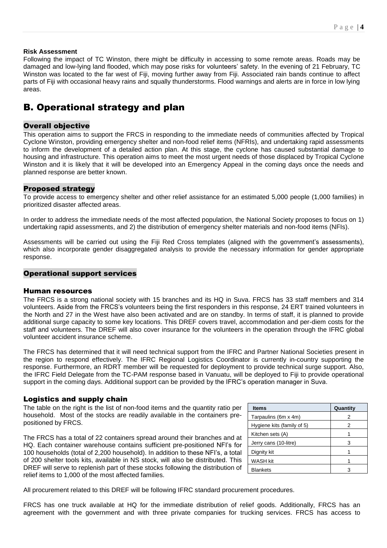#### **Risk Assessment**

Following the impact of TC Winston, there might be difficulty in accessing to some remote areas. Roads may be damaged and low-lying land flooded, which may pose risks for volunteers' safety. In the evening of 21 February, TC Winston was located to the far west of Fiji, moving further away from Fiji. Associated rain bands continue to affect parts of Fiji with occasional heavy rains and squally thunderstorms. Flood warnings and alerts are in force in low lying areas.

# B. Operational strategy and plan

#### **Overall objective**

This operation aims to support the FRCS in responding to the immediate needs of communities affected by Tropical Cyclone Winston, providing emergency shelter and non-food relief items (NFRIs), and undertaking rapid assessments to inform the development of a detailed action plan. At this stage, the cyclone has caused substantial damage to housing and infrastructure. This operation aims to meet the most urgent needs of those displaced by Tropical Cyclone Winston and it is likely that it will be developed into an Emergency Appeal in the coming days once the needs and planned response are better known.

#### Proposed strategy

To provide access to emergency shelter and other relief assistance for an estimated 5,000 people (1,000 families) in prioritized disaster affected areas.

In order to address the immediate needs of the most affected population, the National Society proposes to focus on 1) undertaking rapid assessments, and 2) the distribution of emergency shelter materials and non-food items (NFIs).

Assessments will be carried out using the Fiji Red Cross templates (aligned with the government's assessments), which also incorporate gender disaggregated analysis to provide the necessary information for gender appropriate response.

#### Operational support services

#### Human resources

The FRCS is a strong national society with 15 branches and its HQ in Suva. FRCS has 33 staff members and 314 volunteers. Aside from the FRCS's volunteers being the first responders in this response, 24 ERT trained volunteers in the North and 27 in the West have also been activated and are on standby. In terms of staff, it is planned to provide additional surge capacity to some key locations. This DREF covers travel, accommodation and per-diem costs for the staff and volunteers. The DREF will also cover insurance for the volunteers in the operation through the IFRC global volunteer accident insurance scheme.

The FRCS has determined that it will need technical support from the IFRC and Partner National Societies present in the region to respond effectively. The IFRC Regional Logistics Coordinator is currently in-country supporting the response. Furthermore, an RDRT member will be requested for deployment to provide technical surge support. Also, the IFRC Field Delegate from the TC-PAM response based in Vanuatu, will be deployed to Fiji to provide operational support in the coming days. Additional support can be provided by the IFRC's operation manager in Suva.

#### Logistics and supply chain

The table on the right is the list of non-food items and the quantity ratio per household. Most of the stocks are readily available in the containers prepositioned by FRCS.

The FRCS has a total of 22 containers spread around their branches and at HQ. Each container warehouse contains sufficient pre-positioned NFI's for 100 households (total of 2,200 household). In addition to these NFI's, a total of 200 shelter tools kits, available in NS stock, will also be distributed. This DREF will serve to replenish part of these stocks following the distribution of relief items to 1,000 of the most affected families.

| <b>Items</b>               | Quantity |
|----------------------------|----------|
| Tarpaulins (6m x 4m)       | 2        |
| Hygiene kits (family of 5) | 2        |
| Kitchen sets (A)           |          |
| Jerry cans (10-litre)      | з        |
| Dignity kit                |          |
| <b>WASH kit</b>            |          |
| <b>Blankets</b>            |          |

All procurement related to this DREF will be following IFRC standard procurement procedures.

FRCS has one truck available at HQ for the immediate distribution of relief goods. Additionally, FRCS has an agreement with the government and with three private companies for trucking services. FRCS has access to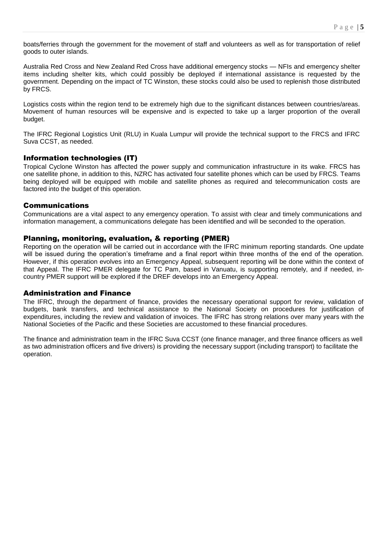boats/ferries through the government for the movement of staff and volunteers as well as for transportation of relief goods to outer islands.

Australia Red Cross and New Zealand Red Cross have additional emergency stocks — NFIs and emergency shelter items including shelter kits, which could possibly be deployed if international assistance is requested by the government. Depending on the impact of TC Winston, these stocks could also be used to replenish those distributed by FRCS.

Logistics costs within the region tend to be extremely high due to the significant distances between countries/areas. Movement of human resources will be expensive and is expected to take up a larger proportion of the overall budget.

The IFRC Regional Logistics Unit (RLU) in Kuala Lumpur will provide the technical support to the FRCS and IFRC Suva CCST, as needed.

#### Information technologies (IT)

Tropical Cyclone Winston has affected the power supply and communication infrastructure in its wake. FRCS has one satellite phone, in addition to this, NZRC has activated four satellite phones which can be used by FRCS. Teams being deployed will be equipped with mobile and satellite phones as required and telecommunication costs are factored into the budget of this operation.

#### Communications

Communications are a vital aspect to any emergency operation. To assist with clear and timely communications and information management, a communications delegate has been identified and will be seconded to the operation.

#### Planning, monitoring, evaluation, & reporting (PMER)

Reporting on the operation will be carried out in accordance with the IFRC minimum reporting standards. One update will be issued during the operation's timeframe and a final report within three months of the end of the operation. However, if this operation evolves into an Emergency Appeal, subsequent reporting will be done within the context of that Appeal. The IFRC PMER delegate for TC Pam, based in Vanuatu, is supporting remotely, and if needed, incountry PMER support will be explored if the DREF develops into an Emergency Appeal.

#### Administration and Finance

The IFRC, through the department of finance, provides the necessary operational support for review, validation of budgets, bank transfers, and technical assistance to the National Society on procedures for justification of expenditures, including the review and validation of invoices. The IFRC has strong relations over many years with the National Societies of the Pacific and these Societies are accustomed to these financial procedures.

The finance and administration team in the IFRC Suva CCST (one finance manager, and three finance officers as well as two administration officers and five drivers) is providing the necessary support (including transport) to facilitate the operation.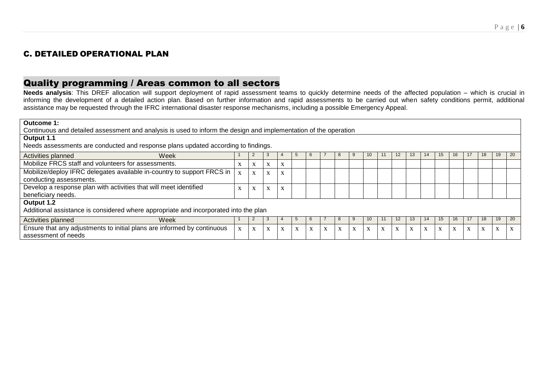# C. DETAILED OPERATIONAL PLAN

# Quality programming / Areas common to all sectors

**Needs analysis**: This DREF allocation will support deployment of rapid assessment teams to quickly determine needs of the affected population – which is crucial in informing the development of a detailed action plan. Based on further information and rapid assessments to be carried out when safety conditions permit, additional assistance may be requested through the IFRC international disaster response mechanisms, including a possible Emergency Appeal.

| Outcome 1:                                                                                                       |  |   |              |                              |   |   |  |           |   |    |   |    |    |    |                           |   |   |                   |                           |
|------------------------------------------------------------------------------------------------------------------|--|---|--------------|------------------------------|---|---|--|-----------|---|----|---|----|----|----|---------------------------|---|---|-------------------|---------------------------|
| Continuous and detailed assessment and analysis is used to inform the design and implementation of the operation |  |   |              |                              |   |   |  |           |   |    |   |    |    |    |                           |   |   |                   |                           |
| Output 1.1                                                                                                       |  |   |              |                              |   |   |  |           |   |    |   |    |    |    |                           |   |   |                   |                           |
| Needs assessments are conducted and response plans updated according to findings.                                |  |   |              |                              |   |   |  |           |   |    |   |    |    |    |                           |   |   |                   |                           |
| Activities planned<br>Week                                                                                       |  |   |              |                              |   |   |  | 8         |   | 10 |   | 12 | 13 | 14 |                           |   |   | 19                | 20                        |
| Mobilize FRCS staff and volunteers for assessments.                                                              |  | X | X            | A                            |   |   |  |           |   |    |   |    |    |    |                           |   |   |                   |                           |
| Mobilize/deploy IFRC delegates available in-country to support FRCS in<br>conducting assessments.                |  | X | $\mathbf{x}$ | $\mathbf{v}$                 |   |   |  |           |   |    |   |    |    |    |                           |   |   |                   |                           |
| Develop a response plan with activities that will meet identified<br>beneficiary needs.                          |  | X | X            | X                            |   |   |  |           |   |    |   |    |    |    |                           |   |   |                   |                           |
| Output 1.2<br>Additional assistance is considered where appropriate and incorporated into the plan               |  |   |              |                              |   |   |  |           |   |    |   |    |    |    |                           |   |   |                   |                           |
| Activities planned<br>Week                                                                                       |  |   |              |                              |   |   |  |           |   | 10 |   | 12 | 13 | 14 |                           |   |   | 19                | 20                        |
| Ensure that any adjustments to initial plans are informed by continuous<br>assessment of needs                   |  | X | X            | $\mathbf{v}$<br>$\mathbf{A}$ | X | X |  | $\lambda$ | X | X  | X | X  | X  |    | $\mathbf{v}$<br>$\Lambda$ | A | X | $\mathbf{v}$<br>л | $\mathbf{v}$<br>$\lambda$ |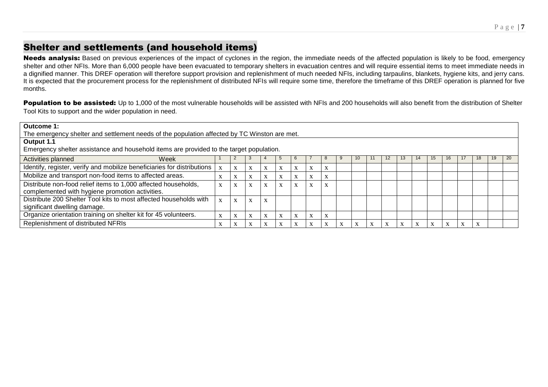# Shelter and settlements (and household items)

Needs analysis: Based on previous experiences of the impact of cyclones in the region, the immediate needs of the affected population is likely to be food, emergency shelter and other NFIs. More than 6,000 people have been evacuated to temporary shelters in evacuation centres and will require essential items to meet immediate needs in a dignified manner. This DREF operation will therefore support provision and replenishment of much needed NFIs, including tarpaulins, blankets, hygiene kits, and jerry cans. It is expected that the procurement process for the replenishment of distributed NFIs will require some time, therefore the timeframe of this DREF operation is planned for five months.

Population to be assisted: Up to 1,000 of the most vulnerable households will be assisted with NFIs and 200 households will also benefit from the distribution of Shelter Tool Kits to support and the wider population in need.

| Outcome 1:                                                                                   |             |                   |             |              |   |                           |                           |                    |  |    |  |    |    |           |    |    |    |    |    |
|----------------------------------------------------------------------------------------------|-------------|-------------------|-------------|--------------|---|---------------------------|---------------------------|--------------------|--|----|--|----|----|-----------|----|----|----|----|----|
| The emergency shelter and settlement needs of the population affected by TC Winston are met. |             |                   |             |              |   |                           |                           |                    |  |    |  |    |    |           |    |    |    |    |    |
| Output 1.1                                                                                   |             |                   |             |              |   |                           |                           |                    |  |    |  |    |    |           |    |    |    |    |    |
| Emergency shelter assistance and household items are provided to the target population.      |             |                   |             |              |   |                           |                           |                    |  |    |  |    |    |           |    |    |    |    |    |
| Week<br>Activities planned                                                                   |             |                   |             |              |   |                           |                           |                    |  | 10 |  | 12 | 13 |           | 15 | 16 | 18 | 19 | 20 |
| Identify, register, verify and mobilize beneficiaries for distributions                      |             | $\mathbf{v}$<br>A | X           |              | X | $\mathbf{v}$<br>A         | $\boldsymbol{\mathrm{X}}$ | $\Lambda$          |  |    |  |    |    |           |    |    |    |    |    |
| Mobilize and transport non-food items to affected areas.                                     |             | $\mathbf{v}$<br>A | X           |              | X | $\mathbf{v}$<br>$\Lambda$ | X                         | $\mathbf{\Lambda}$ |  |    |  |    |    |           |    |    |    |    |    |
| Distribute non-food relief items to 1,000 affected households,                               |             | $\bf{X}$          | X           |              | X | X                         | X                         | $\Lambda$          |  |    |  |    |    |           |    |    |    |    |    |
| complemented with hygiene promotion activities.                                              |             |                   |             |              |   |                           |                           |                    |  |    |  |    |    |           |    |    |    |    |    |
| Distribute 200 Shelter Tool kits to most affected households with                            | $\mathbf x$ | X                 | X           | $\mathbf{v}$ |   |                           |                           |                    |  |    |  |    |    |           |    |    |    |    |    |
| significant dwelling damage.                                                                 |             |                   |             |              |   |                           |                           |                    |  |    |  |    |    |           |    |    |    |    |    |
| Organize orientation training on shelter kit for 45 volunteers.                              |             |                   | $\mathbf x$ |              |   | $\mathbf{v}$<br>A         | X                         | A                  |  |    |  |    |    |           |    |    |    |    |    |
| Replenishment of distributed NFRIs                                                           |             |                   |             |              |   | $\mathbf{v}$<br>A         | $\boldsymbol{\mathrm{X}}$ |                    |  |    |  |    |    | $\Lambda$ |    |    |    |    |    |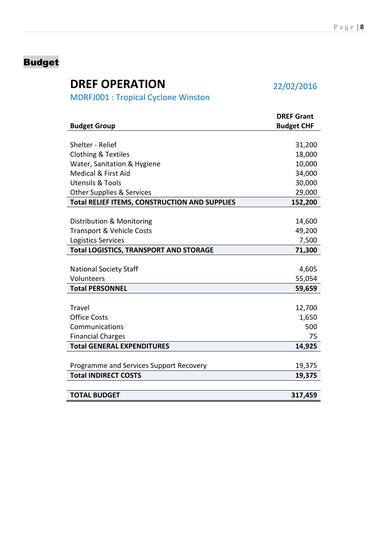# <span id="page-7-0"></span>Budget

# **DREF OPERATION** 22/02/2016

MDRFJ001 : Tropical Cyclone Winston

|                                                      | <b>DREF Grant</b> |
|------------------------------------------------------|-------------------|
| <b>Budget Group</b>                                  | <b>Budget CHF</b> |
|                                                      |                   |
| Shelter - Relief                                     | 31,200            |
| <b>Clothing &amp; Textiles</b>                       | 18,000            |
| Water, Sanitation & Hygiene                          | 10,000            |
| <b>Medical &amp; First Aid</b>                       | 34,000            |
| <b>Utensils &amp; Tools</b>                          | 30,000            |
| <b>Other Supplies &amp; Services</b>                 | 29,000            |
| <b>Total RELIEF ITEMS, CONSTRUCTION AND SUPPLIES</b> | 152,200           |
|                                                      |                   |
| Distribution & Monitoring                            | 14,600            |
| Transport & Vehicle Costs                            | 49,200            |
| Logistics Services                                   | 7,500             |
| <b>Total LOGISTICS, TRANSPORT AND STORAGE</b>        | 71,300            |
|                                                      |                   |
| <b>National Society Staff</b>                        | 4,605             |
| Volunteers                                           | 55,054            |
| <b>Total PERSONNEL</b>                               | 59,659            |
|                                                      |                   |
| Travel                                               | 12,700            |
| <b>Office Costs</b>                                  | 1,650             |
| Communications                                       | 500               |
| <b>Financial Charges</b>                             | 75                |
| <b>Total GENERAL EXPENDITURES</b>                    | 14,925            |
|                                                      |                   |
| Programme and Services Support Recovery              | 19,375            |
| <b>Total INDIRECT COSTS</b>                          | 19,375            |
|                                                      |                   |
| <b>TOTAL BUDGET</b>                                  | 317,459           |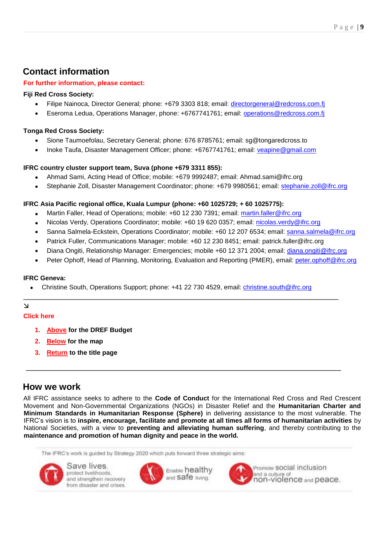# **Contact information**

### **For further information, please contact:**

# **Fiji Red Cross Society:**

- Filipe Nainoca, Director General; phone: +679 3303 818; email: [directorgeneral@redcross.com.fj](mailto:directorgeneral@redcross.com.fj)
- Eseroma Ledua, Operations Manager, phone: +6767741761; email: [operations@redcross.com.fj](mailto:operations@redcross.com.fj)

# **Tonga Red Cross Society:**

- Sione Taumoefolau, Secretary General; phone: 676 8785761; email: sg@tongaredcross.to
- Inoke Taufa, Disaster Management Officer; phone: +6767741761; email: [veapine@gmail.com](mailto:veapine@gmail.com)

# **IFRC country cluster support team, Suva (phone +679 3311 855):**

- Ahmad Sami, Acting Head of Office; mobile: +679 9992487; email: Ahmad.sami@ifrc.org
- Stephanie Zoll, Disaster Management Coordinator; phone: +679 9980561; email: stephanie.zoll@ifrc.org

# **IFRC Asia Pacific regional office, Kuala Lumpur (phone: +60 1025729; + 60 1025775):**

- Martin Faller, Head of Operations; mobile: +60 12 230 7391; email: [martin.faller@ifrc.org](mailto:martin.faller@ifrc.org)
- Nicolas Verdy, Operations Coordinator; mobile: +60 19 620 0357; email: [nicolas.verdy@ifrc.org](mailto:nicolas.verdy@ifrc.org)
- Sanna Salmela-Eckstein, Operations Coordinator; mobile: +60 12 207 6534; email: [sanna.salmela@ifrc.org](mailto:sanna.salmela@ifrc.org)
- Patrick Fuller, Communications Manager; mobile: +60 12 230 8451; email: patrick.fuller@ifrc.org
- Diana Ongiti, Relationship Manager: Emergencies; mobile +60 12 371 2004; email: [diana.ongiti@ifrc.org](mailto:diana.ongiti@ifrc.org)
- Peter Ophoff, Head of Planning, Monitoring, Evaluation and Reporting (PMER), email: peter.ophoff@ifrc.org

### **IFRC Geneva:**

• Christine South, Operations Support; phone: +41 22 730 4529, email: [christine.south@ifrc.org](mailto:christine.south@ifrc.org)

# $\Delta$

### **Click here**

- **1. [Above](#page-7-0) for the DREF Budget**
- **2. [Below](#page-9-0) for the map**
- **3. [Return](#page-0-0) to the title page**

# **How we work**

All IFRC assistance seeks to adhere to the **Code of Conduct** for the International Red Cross and Red Crescent Movement and Non-Governmental Organizations (NGOs) in Disaster Relief and the **Humanitarian Charter and Minimum Standards in Humanitarian Response (Sphere)** in delivering assistance to the most vulnerable. The IFRC's vision is to **inspire, encourage, facilitate and promote at all times all forms of humanitarian activities** by National Societies, with a view to **preventing and alleviating human suffering**, and thereby contributing to the **maintenance and promotion of human dignity and peace in the world.**

The IFRC's work is guided by Strategy 2020 which puts forward three strategic aims:



Save lives protect livelihoods. and strengthen recovery from disaster and crises.



Enable healthy and Safe living.



Promote SOCIal inclusion and a culture of non-violence and peace.